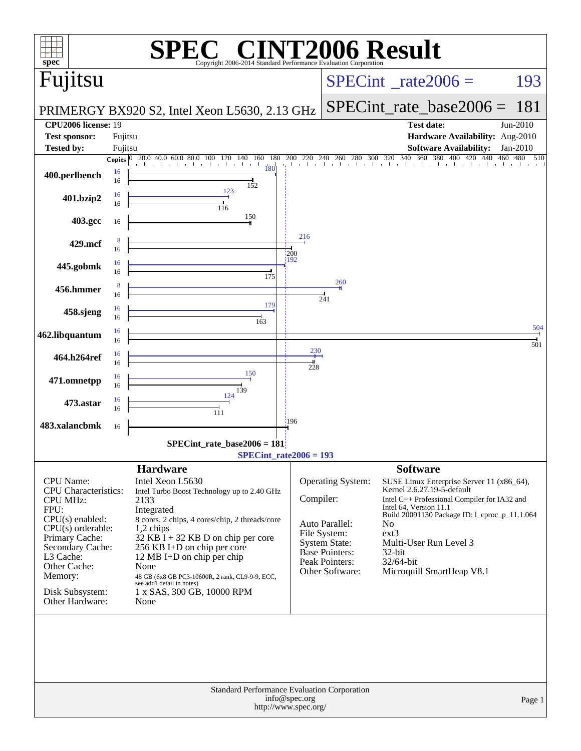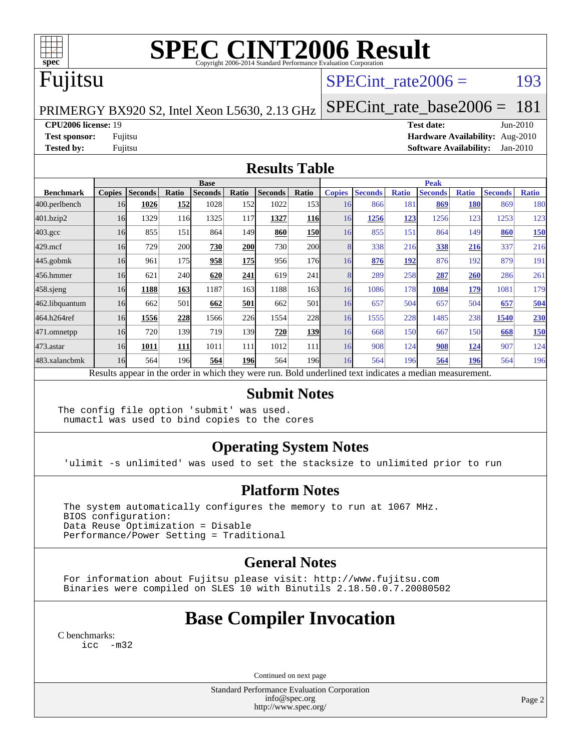

# **[SPEC CINT2006 Result](http://www.spec.org/auto/cpu2006/Docs/result-fields.html#SPECCINT2006Result)**

## Fujitsu

## SPECint rate $2006 =$  193

PRIMERGY BX920 S2, Intel Xeon L5630, 2.13 GHz

[SPECint\\_rate\\_base2006 =](http://www.spec.org/auto/cpu2006/Docs/result-fields.html#SPECintratebase2006) 181

**[CPU2006 license:](http://www.spec.org/auto/cpu2006/Docs/result-fields.html#CPU2006license)** 19 **[Test date:](http://www.spec.org/auto/cpu2006/Docs/result-fields.html#Testdate)** Jun-2010

**[Test sponsor:](http://www.spec.org/auto/cpu2006/Docs/result-fields.html#Testsponsor)** Fujitsu **[Hardware Availability:](http://www.spec.org/auto/cpu2006/Docs/result-fields.html#HardwareAvailability)** Aug-2010 **[Tested by:](http://www.spec.org/auto/cpu2006/Docs/result-fields.html#Testedby)** Fujitsu **[Software Availability:](http://www.spec.org/auto/cpu2006/Docs/result-fields.html#SoftwareAvailability)** Jan-2010

### **[Results Table](http://www.spec.org/auto/cpu2006/Docs/result-fields.html#ResultsTable)**

|                    | <b>Base</b>                                                                                              |                |       |                |            |                | <b>Peak</b>      |               |                |              |                |              |                |              |
|--------------------|----------------------------------------------------------------------------------------------------------|----------------|-------|----------------|------------|----------------|------------------|---------------|----------------|--------------|----------------|--------------|----------------|--------------|
| <b>Benchmark</b>   | <b>Copies</b>                                                                                            | <b>Seconds</b> | Ratio | <b>Seconds</b> | Ratio      | <b>Seconds</b> | Ratio            | <b>Copies</b> | <b>Seconds</b> | <b>Ratio</b> | <b>Seconds</b> | <b>Ratio</b> | <b>Seconds</b> | <b>Ratio</b> |
| 400.perlbench      | 16                                                                                                       | 1026           | 152   | 1028           | <b>152</b> | 1022           | 153 <sup> </sup> | 16            | 866            | 181          | 869            | <b>180</b>   | 869            | 180          |
| 401.bzip2          | 16                                                                                                       | 1329           | 116   | 1325           | 117        | 1327           | <b>116</b>       | 16            | 1256           | 123          | 1256           | 123          | 1253           | 123          |
| $403.\mathrm{gcc}$ | 16                                                                                                       | 855            | 151   | 864            | 149        | 860            | <b>150</b>       | 16            | 855            | 151          | 864            | 149          | 860            | 150          |
| $429$ .mcf         | 16                                                                                                       | 729            | 200   | 730            | <b>200</b> | 730            | <b>200</b>       |               | 338            | 216          | 338            | 216          | 337            | 216          |
| $445$ .gobm $k$    | 16                                                                                                       | 961            | 175   | 958            | <b>175</b> | 956            | 176              | 16            | 876            | 192          | 876            | 192          | 879            | 191          |
| 456.hmmer          | 16                                                                                                       | 621            | 240   | 620            | 241        | 619            | 241              |               | 289            | 258          | 287            | 260          | 286            | 261          |
| 458 sjeng          | 16                                                                                                       | 1188           | 163   | 1187           | 163        | 1188           | 163              | 16            | 1086           | 178          | 1084           | 179          | 1081           | 179          |
| 462.libquantum     | 16                                                                                                       | 662            | 501   | 662            | 501        | 662            | 501              | 16            | 657            | 504          | 657            | 504          | 657            | 504          |
| 464.h264ref        | 16                                                                                                       | 1556           | 228   | 1566           | 226        | 1554           | 228              | 16            | 1555           | 228          | 1485           | 238          | 1540           | 230          |
| 471.omnetpp        | 16                                                                                                       | 720            | 139   | 719            | 139        | 720            | 139              | 16            | 668            | 150          | 667            | 150          | 668            | 150          |
| $473.$ astar       | 16                                                                                                       | 1011           | 111   | 1011           | 111        | 1012           | 111              | 16            | 908            | 124          | 908            | <u>124</u>   | 907            | 124          |
| 483.xalancbmk      | 16                                                                                                       | 564            | 196   | 564            | <b>196</b> | 564            | 196 <sub>l</sub> | 16            | 564            | 196          | 564            | 196          | 564            | 196          |
|                    | Results appear in the order in which they were run. Bold underlined text indicates a median measurement. |                |       |                |            |                |                  |               |                |              |                |              |                |              |

#### **[Submit Notes](http://www.spec.org/auto/cpu2006/Docs/result-fields.html#SubmitNotes)**

The config file option 'submit' was used. numactl was used to bind copies to the cores

## **[Operating System Notes](http://www.spec.org/auto/cpu2006/Docs/result-fields.html#OperatingSystemNotes)**

'ulimit -s unlimited' was used to set the stacksize to unlimited prior to run

#### **[Platform Notes](http://www.spec.org/auto/cpu2006/Docs/result-fields.html#PlatformNotes)**

 The system automatically configures the memory to run at 1067 MHz. BIOS configuration: Data Reuse Optimization = Disable Performance/Power Setting = Traditional

## **[General Notes](http://www.spec.org/auto/cpu2006/Docs/result-fields.html#GeneralNotes)**

 For information about Fujitsu please visit: <http://www.fujitsu.com> Binaries were compiled on SLES 10 with Binutils 2.18.50.0.7.20080502

# **[Base Compiler Invocation](http://www.spec.org/auto/cpu2006/Docs/result-fields.html#BaseCompilerInvocation)**

[C benchmarks](http://www.spec.org/auto/cpu2006/Docs/result-fields.html#Cbenchmarks): [icc -m32](http://www.spec.org/cpu2006/results/res2010q3/cpu2006-20100702-12091.flags.html#user_CCbase_intel_icc_32bit_5ff4a39e364c98233615fdd38438c6f2)

Continued on next page

Standard Performance Evaluation Corporation [info@spec.org](mailto:info@spec.org) <http://www.spec.org/>

Page 2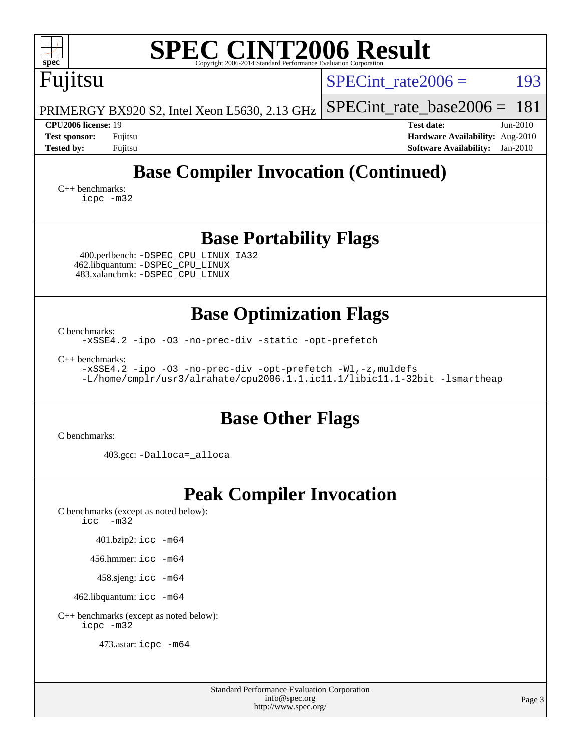| $spec^*$                                                                                                       | Copyright 2006-2014 Standard Performance Evaluation Corporation | <b>SPEC CINT2006 Result</b>                                                                  |                        |
|----------------------------------------------------------------------------------------------------------------|-----------------------------------------------------------------|----------------------------------------------------------------------------------------------|------------------------|
| Fujitsu                                                                                                        |                                                                 | SPECint rate $2006 =$                                                                        | 193                    |
| PRIMERGY BX920 S2, Intel Xeon L5630, 2.13 GHz                                                                  |                                                                 | $SPECint_rate_base2006 = 181$                                                                |                        |
| CPU2006 license: 19<br><b>Test sponsor:</b><br>Fujitsu<br><b>Tested by:</b><br>Fujitsu                         |                                                                 | <b>Test date:</b><br><b>Hardware Availability:</b> Aug-2010<br><b>Software Availability:</b> | $Jun-2010$<br>Jan-2010 |
| $C_{++}$ benchmarks:<br>icpc -m32                                                                              |                                                                 | <b>Base Compiler Invocation (Continued)</b>                                                  |                        |
|                                                                                                                | <b>Base Portability Flags</b>                                   |                                                                                              |                        |
| 400.perlbench: - DSPEC_CPU_LINUX_IA32<br>462.libquantum: - DSPEC_CPU_LINUX<br>483.xalancbmk: - DSPEC CPU LINUX |                                                                 |                                                                                              |                        |
|                                                                                                                | <b>Base Optimization Flags</b>                                  |                                                                                              |                        |
| C benchmarks:<br>-xSSE4.2 -ipo -03 -no-prec-div -static -opt-prefetch                                          |                                                                 |                                                                                              |                        |
| $C_{++}$ benchmarks:<br>-xSSE4.2 -ipo -03 -no-prec-div -opt-prefetch -Wl,-z, muldefs                           |                                                                 | -L/home/cmplr/usr3/alrahate/cpu2006.1.1.ic11.1/libic11.1-32bit -lsmartheap                   |                        |
|                                                                                                                | <b>Base Other Flags</b>                                         |                                                                                              |                        |
| C benchmarks:<br>403.gcc: -Dalloca=_alloca                                                                     |                                                                 |                                                                                              |                        |
|                                                                                                                | <b>Peak Compiler Invocation</b>                                 |                                                                                              |                        |
| C benchmarks (except as noted below):<br>$\text{icc}$ -m32                                                     |                                                                 |                                                                                              |                        |
| 401.bzip2: icc -m64                                                                                            |                                                                 |                                                                                              |                        |
| 456.hmmer: icc -m64<br>458.sjeng: icc -m64                                                                     |                                                                 |                                                                                              |                        |
| 462.libquantum: icc -m64                                                                                       |                                                                 |                                                                                              |                        |
| C++ benchmarks (except as noted below):<br>icpc -m32                                                           |                                                                 |                                                                                              |                        |

473.astar: [icpc -m64](http://www.spec.org/cpu2006/results/res2010q3/cpu2006-20100702-12091.flags.html#user_peakCXXLD473_astar_intel_icpc_64bit_fc66a5337ce925472a5c54ad6a0de310)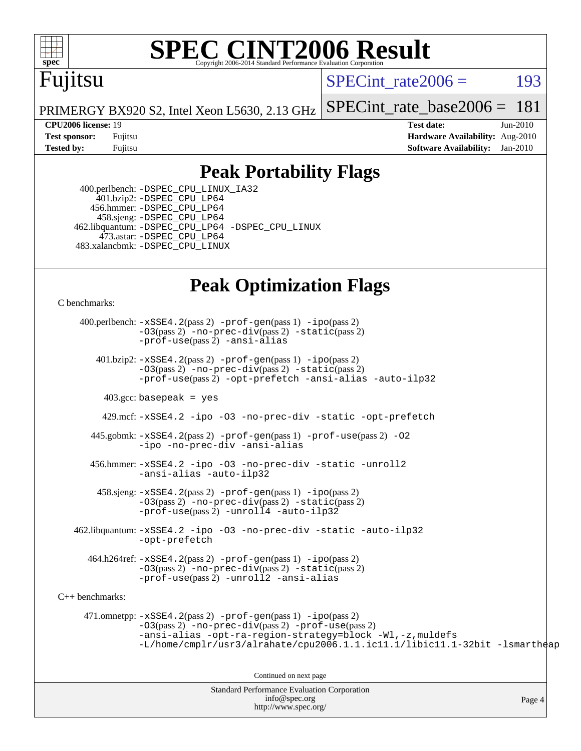

# **[SPEC CINT2006 Result](http://www.spec.org/auto/cpu2006/Docs/result-fields.html#SPECCINT2006Result)**

# Fujitsu

SPECint rate $2006 =$  193

[SPECint\\_rate\\_base2006 =](http://www.spec.org/auto/cpu2006/Docs/result-fields.html#SPECintratebase2006) 181

Page 4

PRIMERGY BX920 S2, Intel Xeon L5630, 2.13 GHz

**[CPU2006 license:](http://www.spec.org/auto/cpu2006/Docs/result-fields.html#CPU2006license)** 19 **[Test date:](http://www.spec.org/auto/cpu2006/Docs/result-fields.html#Testdate)** Jun-2010 **[Test sponsor:](http://www.spec.org/auto/cpu2006/Docs/result-fields.html#Testsponsor)** Fujitsu **[Hardware Availability:](http://www.spec.org/auto/cpu2006/Docs/result-fields.html#HardwareAvailability)** Aug-2010 **[Tested by:](http://www.spec.org/auto/cpu2006/Docs/result-fields.html#Testedby)** Fujitsu **[Software Availability:](http://www.spec.org/auto/cpu2006/Docs/result-fields.html#SoftwareAvailability)** Jan-2010

## **[Peak Portability Flags](http://www.spec.org/auto/cpu2006/Docs/result-fields.html#PeakPortabilityFlags)**

 400.perlbench: [-DSPEC\\_CPU\\_LINUX\\_IA32](http://www.spec.org/cpu2006/results/res2010q3/cpu2006-20100702-12091.flags.html#b400.perlbench_peakCPORTABILITY_DSPEC_CPU_LINUX_IA32) 401.bzip2: [-DSPEC\\_CPU\\_LP64](http://www.spec.org/cpu2006/results/res2010q3/cpu2006-20100702-12091.flags.html#suite_peakCPORTABILITY401_bzip2_DSPEC_CPU_LP64) 456.hmmer: [-DSPEC\\_CPU\\_LP64](http://www.spec.org/cpu2006/results/res2010q3/cpu2006-20100702-12091.flags.html#suite_peakCPORTABILITY456_hmmer_DSPEC_CPU_LP64) 458.sjeng: [-DSPEC\\_CPU\\_LP64](http://www.spec.org/cpu2006/results/res2010q3/cpu2006-20100702-12091.flags.html#suite_peakCPORTABILITY458_sjeng_DSPEC_CPU_LP64) 462.libquantum: [-DSPEC\\_CPU\\_LP64](http://www.spec.org/cpu2006/results/res2010q3/cpu2006-20100702-12091.flags.html#suite_peakCPORTABILITY462_libquantum_DSPEC_CPU_LP64) [-DSPEC\\_CPU\\_LINUX](http://www.spec.org/cpu2006/results/res2010q3/cpu2006-20100702-12091.flags.html#b462.libquantum_peakCPORTABILITY_DSPEC_CPU_LINUX) 473.astar: [-DSPEC\\_CPU\\_LP64](http://www.spec.org/cpu2006/results/res2010q3/cpu2006-20100702-12091.flags.html#suite_peakCXXPORTABILITY473_astar_DSPEC_CPU_LP64) 483.xalancbmk: [-DSPEC\\_CPU\\_LINUX](http://www.spec.org/cpu2006/results/res2010q3/cpu2006-20100702-12091.flags.html#b483.xalancbmk_peakCXXPORTABILITY_DSPEC_CPU_LINUX)

## **[Peak Optimization Flags](http://www.spec.org/auto/cpu2006/Docs/result-fields.html#PeakOptimizationFlags)**

[C benchmarks](http://www.spec.org/auto/cpu2006/Docs/result-fields.html#Cbenchmarks):

Standard Performance Evaluation Corporation 400.perlbench: [-xSSE4.2](http://www.spec.org/cpu2006/results/res2010q3/cpu2006-20100702-12091.flags.html#user_peakPASS2_CFLAGSPASS2_LDCFLAGS400_perlbench_f-xSSE42_f91528193cf0b216347adb8b939d4107)(pass 2) [-prof-gen](http://www.spec.org/cpu2006/results/res2010q3/cpu2006-20100702-12091.flags.html#user_peakPASS1_CFLAGSPASS1_LDCFLAGS400_perlbench_prof_gen_e43856698f6ca7b7e442dfd80e94a8fc)(pass 1) [-ipo](http://www.spec.org/cpu2006/results/res2010q3/cpu2006-20100702-12091.flags.html#user_peakPASS2_CFLAGSPASS2_LDCFLAGS400_perlbench_f-ipo)(pass 2) [-O3](http://www.spec.org/cpu2006/results/res2010q3/cpu2006-20100702-12091.flags.html#user_peakPASS2_CFLAGSPASS2_LDCFLAGS400_perlbench_f-O3)(pass 2) [-no-prec-div](http://www.spec.org/cpu2006/results/res2010q3/cpu2006-20100702-12091.flags.html#user_peakPASS2_CFLAGSPASS2_LDCFLAGS400_perlbench_f-no-prec-div)(pass 2) [-static](http://www.spec.org/cpu2006/results/res2010q3/cpu2006-20100702-12091.flags.html#user_peakPASS2_CFLAGSPASS2_LDCFLAGS400_perlbench_f-static)(pass 2) [-prof-use](http://www.spec.org/cpu2006/results/res2010q3/cpu2006-20100702-12091.flags.html#user_peakPASS2_CFLAGSPASS2_LDCFLAGS400_perlbench_prof_use_bccf7792157ff70d64e32fe3e1250b55)(pass 2) [-ansi-alias](http://www.spec.org/cpu2006/results/res2010q3/cpu2006-20100702-12091.flags.html#user_peakCOPTIMIZE400_perlbench_f-ansi-alias) 401.bzip2: [-xSSE4.2](http://www.spec.org/cpu2006/results/res2010q3/cpu2006-20100702-12091.flags.html#user_peakPASS2_CFLAGSPASS2_LDCFLAGS401_bzip2_f-xSSE42_f91528193cf0b216347adb8b939d4107)(pass 2) [-prof-gen](http://www.spec.org/cpu2006/results/res2010q3/cpu2006-20100702-12091.flags.html#user_peakPASS1_CFLAGSPASS1_LDCFLAGS401_bzip2_prof_gen_e43856698f6ca7b7e442dfd80e94a8fc)(pass 1) [-ipo](http://www.spec.org/cpu2006/results/res2010q3/cpu2006-20100702-12091.flags.html#user_peakPASS2_CFLAGSPASS2_LDCFLAGS401_bzip2_f-ipo)(pass 2) [-O3](http://www.spec.org/cpu2006/results/res2010q3/cpu2006-20100702-12091.flags.html#user_peakPASS2_CFLAGSPASS2_LDCFLAGS401_bzip2_f-O3)(pass 2) [-no-prec-div](http://www.spec.org/cpu2006/results/res2010q3/cpu2006-20100702-12091.flags.html#user_peakPASS2_CFLAGSPASS2_LDCFLAGS401_bzip2_f-no-prec-div)(pass 2) [-static](http://www.spec.org/cpu2006/results/res2010q3/cpu2006-20100702-12091.flags.html#user_peakPASS2_CFLAGSPASS2_LDCFLAGS401_bzip2_f-static)(pass 2) [-prof-use](http://www.spec.org/cpu2006/results/res2010q3/cpu2006-20100702-12091.flags.html#user_peakPASS2_CFLAGSPASS2_LDCFLAGS401_bzip2_prof_use_bccf7792157ff70d64e32fe3e1250b55)(pass 2) [-opt-prefetch](http://www.spec.org/cpu2006/results/res2010q3/cpu2006-20100702-12091.flags.html#user_peakCOPTIMIZE401_bzip2_f-opt-prefetch) [-ansi-alias](http://www.spec.org/cpu2006/results/res2010q3/cpu2006-20100702-12091.flags.html#user_peakCOPTIMIZE401_bzip2_f-ansi-alias) [-auto-ilp32](http://www.spec.org/cpu2006/results/res2010q3/cpu2006-20100702-12091.flags.html#user_peakCOPTIMIZE401_bzip2_f-auto-ilp32)  $403.\text{gcc: basepeak}$  = yes 429.mcf: [-xSSE4.2](http://www.spec.org/cpu2006/results/res2010q3/cpu2006-20100702-12091.flags.html#user_peakCOPTIMIZE429_mcf_f-xSSE42_f91528193cf0b216347adb8b939d4107) [-ipo](http://www.spec.org/cpu2006/results/res2010q3/cpu2006-20100702-12091.flags.html#user_peakCOPTIMIZE429_mcf_f-ipo) [-O3](http://www.spec.org/cpu2006/results/res2010q3/cpu2006-20100702-12091.flags.html#user_peakCOPTIMIZE429_mcf_f-O3) [-no-prec-div](http://www.spec.org/cpu2006/results/res2010q3/cpu2006-20100702-12091.flags.html#user_peakCOPTIMIZE429_mcf_f-no-prec-div) [-static](http://www.spec.org/cpu2006/results/res2010q3/cpu2006-20100702-12091.flags.html#user_peakCOPTIMIZE429_mcf_f-static) [-opt-prefetch](http://www.spec.org/cpu2006/results/res2010q3/cpu2006-20100702-12091.flags.html#user_peakCOPTIMIZE429_mcf_f-opt-prefetch) 445.gobmk: [-xSSE4.2](http://www.spec.org/cpu2006/results/res2010q3/cpu2006-20100702-12091.flags.html#user_peakPASS2_CFLAGSPASS2_LDCFLAGS445_gobmk_f-xSSE42_f91528193cf0b216347adb8b939d4107)(pass 2) [-prof-gen](http://www.spec.org/cpu2006/results/res2010q3/cpu2006-20100702-12091.flags.html#user_peakPASS1_CFLAGSPASS1_LDCFLAGS445_gobmk_prof_gen_e43856698f6ca7b7e442dfd80e94a8fc)(pass 1) [-prof-use](http://www.spec.org/cpu2006/results/res2010q3/cpu2006-20100702-12091.flags.html#user_peakPASS2_CFLAGSPASS2_LDCFLAGS445_gobmk_prof_use_bccf7792157ff70d64e32fe3e1250b55)(pass 2) [-O2](http://www.spec.org/cpu2006/results/res2010q3/cpu2006-20100702-12091.flags.html#user_peakCOPTIMIZE445_gobmk_f-O2) [-ipo](http://www.spec.org/cpu2006/results/res2010q3/cpu2006-20100702-12091.flags.html#user_peakCOPTIMIZE445_gobmk_f-ipo) [-no-prec-div](http://www.spec.org/cpu2006/results/res2010q3/cpu2006-20100702-12091.flags.html#user_peakCOPTIMIZE445_gobmk_f-no-prec-div) [-ansi-alias](http://www.spec.org/cpu2006/results/res2010q3/cpu2006-20100702-12091.flags.html#user_peakCOPTIMIZE445_gobmk_f-ansi-alias) 456.hmmer: [-xSSE4.2](http://www.spec.org/cpu2006/results/res2010q3/cpu2006-20100702-12091.flags.html#user_peakCOPTIMIZE456_hmmer_f-xSSE42_f91528193cf0b216347adb8b939d4107) [-ipo](http://www.spec.org/cpu2006/results/res2010q3/cpu2006-20100702-12091.flags.html#user_peakCOPTIMIZE456_hmmer_f-ipo) [-O3](http://www.spec.org/cpu2006/results/res2010q3/cpu2006-20100702-12091.flags.html#user_peakCOPTIMIZE456_hmmer_f-O3) [-no-prec-div](http://www.spec.org/cpu2006/results/res2010q3/cpu2006-20100702-12091.flags.html#user_peakCOPTIMIZE456_hmmer_f-no-prec-div) [-static](http://www.spec.org/cpu2006/results/res2010q3/cpu2006-20100702-12091.flags.html#user_peakCOPTIMIZE456_hmmer_f-static) [-unroll2](http://www.spec.org/cpu2006/results/res2010q3/cpu2006-20100702-12091.flags.html#user_peakCOPTIMIZE456_hmmer_f-unroll_784dae83bebfb236979b41d2422d7ec2) [-ansi-alias](http://www.spec.org/cpu2006/results/res2010q3/cpu2006-20100702-12091.flags.html#user_peakCOPTIMIZE456_hmmer_f-ansi-alias) [-auto-ilp32](http://www.spec.org/cpu2006/results/res2010q3/cpu2006-20100702-12091.flags.html#user_peakCOPTIMIZE456_hmmer_f-auto-ilp32)  $458 \text{.}$  sjeng:  $-xSSE4$ .  $2(\text{pass 2})$  -prof-qen(pass 1) [-ipo](http://www.spec.org/cpu2006/results/res2010q3/cpu2006-20100702-12091.flags.html#user_peakPASS2_CFLAGSPASS2_LDCFLAGS458_sjeng_f-ipo)(pass 2) [-O3](http://www.spec.org/cpu2006/results/res2010q3/cpu2006-20100702-12091.flags.html#user_peakPASS2_CFLAGSPASS2_LDCFLAGS458_sjeng_f-O3)(pass 2) [-no-prec-div](http://www.spec.org/cpu2006/results/res2010q3/cpu2006-20100702-12091.flags.html#user_peakPASS2_CFLAGSPASS2_LDCFLAGS458_sjeng_f-no-prec-div)(pass 2) [-static](http://www.spec.org/cpu2006/results/res2010q3/cpu2006-20100702-12091.flags.html#user_peakPASS2_CFLAGSPASS2_LDCFLAGS458_sjeng_f-static)(pass 2) [-prof-use](http://www.spec.org/cpu2006/results/res2010q3/cpu2006-20100702-12091.flags.html#user_peakPASS2_CFLAGSPASS2_LDCFLAGS458_sjeng_prof_use_bccf7792157ff70d64e32fe3e1250b55)(pass 2) [-unroll4](http://www.spec.org/cpu2006/results/res2010q3/cpu2006-20100702-12091.flags.html#user_peakCOPTIMIZE458_sjeng_f-unroll_4e5e4ed65b7fd20bdcd365bec371b81f) [-auto-ilp32](http://www.spec.org/cpu2006/results/res2010q3/cpu2006-20100702-12091.flags.html#user_peakCOPTIMIZE458_sjeng_f-auto-ilp32) 462.libquantum: [-xSSE4.2](http://www.spec.org/cpu2006/results/res2010q3/cpu2006-20100702-12091.flags.html#user_peakCOPTIMIZE462_libquantum_f-xSSE42_f91528193cf0b216347adb8b939d4107) [-ipo](http://www.spec.org/cpu2006/results/res2010q3/cpu2006-20100702-12091.flags.html#user_peakCOPTIMIZE462_libquantum_f-ipo) [-O3](http://www.spec.org/cpu2006/results/res2010q3/cpu2006-20100702-12091.flags.html#user_peakCOPTIMIZE462_libquantum_f-O3) [-no-prec-div](http://www.spec.org/cpu2006/results/res2010q3/cpu2006-20100702-12091.flags.html#user_peakCOPTIMIZE462_libquantum_f-no-prec-div) [-static](http://www.spec.org/cpu2006/results/res2010q3/cpu2006-20100702-12091.flags.html#user_peakCOPTIMIZE462_libquantum_f-static) [-auto-ilp32](http://www.spec.org/cpu2006/results/res2010q3/cpu2006-20100702-12091.flags.html#user_peakCOPTIMIZE462_libquantum_f-auto-ilp32) [-opt-prefetch](http://www.spec.org/cpu2006/results/res2010q3/cpu2006-20100702-12091.flags.html#user_peakCOPTIMIZE462_libquantum_f-opt-prefetch) 464.h264ref: [-xSSE4.2](http://www.spec.org/cpu2006/results/res2010q3/cpu2006-20100702-12091.flags.html#user_peakPASS2_CFLAGSPASS2_LDCFLAGS464_h264ref_f-xSSE42_f91528193cf0b216347adb8b939d4107)(pass 2) [-prof-gen](http://www.spec.org/cpu2006/results/res2010q3/cpu2006-20100702-12091.flags.html#user_peakPASS1_CFLAGSPASS1_LDCFLAGS464_h264ref_prof_gen_e43856698f6ca7b7e442dfd80e94a8fc)(pass 1) [-ipo](http://www.spec.org/cpu2006/results/res2010q3/cpu2006-20100702-12091.flags.html#user_peakPASS2_CFLAGSPASS2_LDCFLAGS464_h264ref_f-ipo)(pass 2) [-O3](http://www.spec.org/cpu2006/results/res2010q3/cpu2006-20100702-12091.flags.html#user_peakPASS2_CFLAGSPASS2_LDCFLAGS464_h264ref_f-O3)(pass 2) [-no-prec-div](http://www.spec.org/cpu2006/results/res2010q3/cpu2006-20100702-12091.flags.html#user_peakPASS2_CFLAGSPASS2_LDCFLAGS464_h264ref_f-no-prec-div)(pass 2) [-static](http://www.spec.org/cpu2006/results/res2010q3/cpu2006-20100702-12091.flags.html#user_peakPASS2_CFLAGSPASS2_LDCFLAGS464_h264ref_f-static)(pass 2) [-prof-use](http://www.spec.org/cpu2006/results/res2010q3/cpu2006-20100702-12091.flags.html#user_peakPASS2_CFLAGSPASS2_LDCFLAGS464_h264ref_prof_use_bccf7792157ff70d64e32fe3e1250b55)(pass 2) [-unroll2](http://www.spec.org/cpu2006/results/res2010q3/cpu2006-20100702-12091.flags.html#user_peakCOPTIMIZE464_h264ref_f-unroll_784dae83bebfb236979b41d2422d7ec2) [-ansi-alias](http://www.spec.org/cpu2006/results/res2010q3/cpu2006-20100702-12091.flags.html#user_peakCOPTIMIZE464_h264ref_f-ansi-alias) [C++ benchmarks:](http://www.spec.org/auto/cpu2006/Docs/result-fields.html#CXXbenchmarks) 471.omnetpp: [-xSSE4.2](http://www.spec.org/cpu2006/results/res2010q3/cpu2006-20100702-12091.flags.html#user_peakPASS2_CXXFLAGSPASS2_LDCXXFLAGS471_omnetpp_f-xSSE42_f91528193cf0b216347adb8b939d4107)(pass 2) [-prof-gen](http://www.spec.org/cpu2006/results/res2010q3/cpu2006-20100702-12091.flags.html#user_peakPASS1_CXXFLAGSPASS1_LDCXXFLAGS471_omnetpp_prof_gen_e43856698f6ca7b7e442dfd80e94a8fc)(pass 1) [-ipo](http://www.spec.org/cpu2006/results/res2010q3/cpu2006-20100702-12091.flags.html#user_peakPASS2_CXXFLAGSPASS2_LDCXXFLAGS471_omnetpp_f-ipo)(pass 2) [-O3](http://www.spec.org/cpu2006/results/res2010q3/cpu2006-20100702-12091.flags.html#user_peakPASS2_CXXFLAGSPASS2_LDCXXFLAGS471_omnetpp_f-O3)(pass 2) [-no-prec-div](http://www.spec.org/cpu2006/results/res2010q3/cpu2006-20100702-12091.flags.html#user_peakPASS2_CXXFLAGSPASS2_LDCXXFLAGS471_omnetpp_f-no-prec-div)(pass 2) [-prof-use](http://www.spec.org/cpu2006/results/res2010q3/cpu2006-20100702-12091.flags.html#user_peakPASS2_CXXFLAGSPASS2_LDCXXFLAGS471_omnetpp_prof_use_bccf7792157ff70d64e32fe3e1250b55)(pass 2) [-ansi-alias](http://www.spec.org/cpu2006/results/res2010q3/cpu2006-20100702-12091.flags.html#user_peakCXXOPTIMIZE471_omnetpp_f-ansi-alias) [-opt-ra-region-strategy=block](http://www.spec.org/cpu2006/results/res2010q3/cpu2006-20100702-12091.flags.html#user_peakCXXOPTIMIZE471_omnetpp_f-opt-ra-region-strategy-block_a0a37c372d03933b2a18d4af463c1f69) [-Wl,-z,muldefs](http://www.spec.org/cpu2006/results/res2010q3/cpu2006-20100702-12091.flags.html#user_peakEXTRA_LDFLAGS471_omnetpp_link_force_multiple1_74079c344b956b9658436fd1b6dd3a8a) [-L/home/cmplr/usr3/alrahate/cpu2006.1.1.ic11.1/libic11.1-32bit -lsmartheap](http://www.spec.org/cpu2006/results/res2010q3/cpu2006-20100702-12091.flags.html#user_peakEXTRA_LIBS471_omnetpp_SmartHeap_d86dffe4a79b79ef8890d5cce17030c3) Continued on next page

> [info@spec.org](mailto:info@spec.org) <http://www.spec.org/>